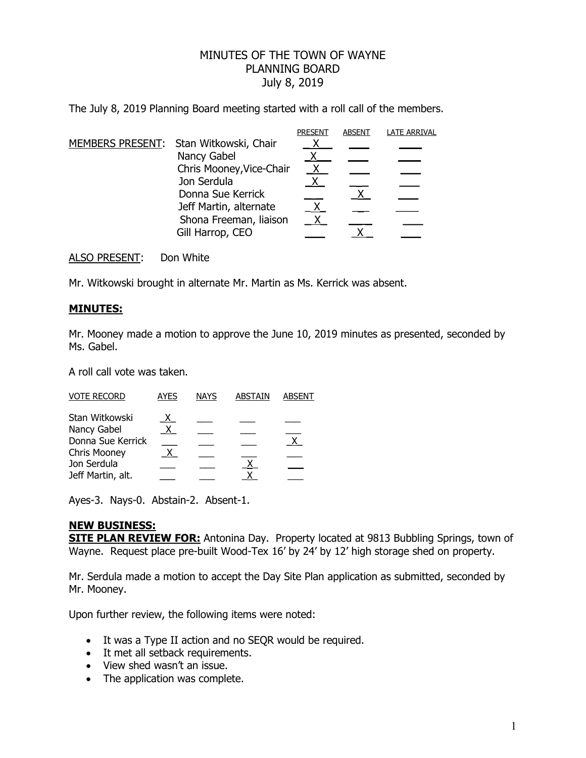## MINUTES OF THE TOWN OF WAYNE PLANNING BOARD July 8, 2019

The July 8, 2019 Planning Board meeting started with a roll call of the members.

|  |                                        | <b>PRESENT</b> | <b>ABSENT</b> | <b>LATE ARRIVAL</b> |
|--|----------------------------------------|----------------|---------------|---------------------|
|  | MEMBERS PRESENT: Stan Witkowski, Chair |                |               |                     |
|  | Nancy Gabel                            |                |               |                     |
|  | Chris Mooney, Vice-Chair               | $\mathsf{X}$   |               |                     |
|  | Jon Serdula                            |                |               |                     |
|  | Donna Sue Kerrick                      |                |               |                     |
|  | Jeff Martin, alternate                 |                |               |                     |
|  | Shona Freeman, liaison                 |                |               |                     |
|  | Gill Harrop, CEO                       |                |               |                     |

ALSO PRESENT: Don White

Mr. Witkowski brought in alternate Mr. Martin as Ms. Kerrick was absent.

## **MINUTES:**

Mr. Mooney made a motion to approve the June 10, 2019 minutes as presented, seconded by Ms. Gabel.

A roll call vote was taken.

| <b>VOTE RECORD</b> | <b>AYES</b>  | <b>NAYS</b> | ABSTAIN | <b>ABSENT</b> |
|--------------------|--------------|-------------|---------|---------------|
| Stan Witkowski     |              |             |         |               |
| Nancy Gabel        | $\mathsf{X}$ |             |         |               |
| Donna Sue Kerrick  |              |             |         |               |
| Chris Mooney       |              |             |         |               |
| Jon Serdula        |              |             |         |               |
| Jeff Martin, alt.  |              |             |         |               |

Ayes-3. Nays-0. Abstain-2. Absent-1.

## **NEW BUSINESS:**

**SITE PLAN REVIEW FOR:** Antonina Day. Property located at 9813 Bubbling Springs, town of Wayne. Request place pre-built Wood-Tex 16' by 24' by 12' high storage shed on property.

Mr. Serdula made a motion to accept the Day Site Plan application as submitted, seconded by Mr. Mooney.

Upon further review, the following items were noted:

- It was a Type II action and no SEQR would be required.
- It met all setback requirements.
- View shed wasn't an issue.
- The application was complete.